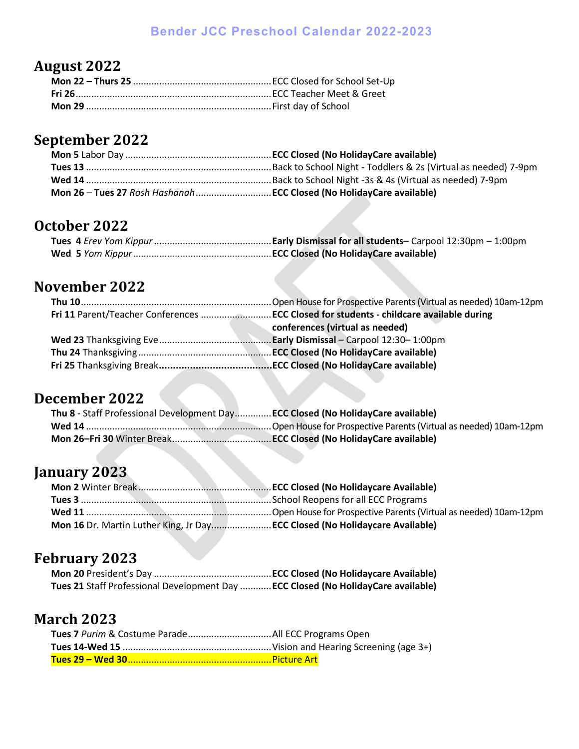#### **Bender JCC Preschool Calendar 2022-2023**

### **August 2022**

### **September 2022**

#### **October 2022**

#### **November 2022**

| conferences (virtual as needed) |
|---------------------------------|
|                                 |
|                                 |
|                                 |

# **December 2022**

| Thu 8 - Staff Professional Development DayECC Closed (No HolidayCare available) |  |
|---------------------------------------------------------------------------------|--|
|                                                                                 |  |
|                                                                                 |  |

### **January 2023**

| Mon 16 Dr. Martin Luther King, Jr Day ECC Closed (No Holidaycare Available) |
|-----------------------------------------------------------------------------|

## **February 2023**

| Tues 21 Staff Professional Development Day  ECC Closed (No HolidayCare available) |  |
|-----------------------------------------------------------------------------------|--|

#### **March 2023**